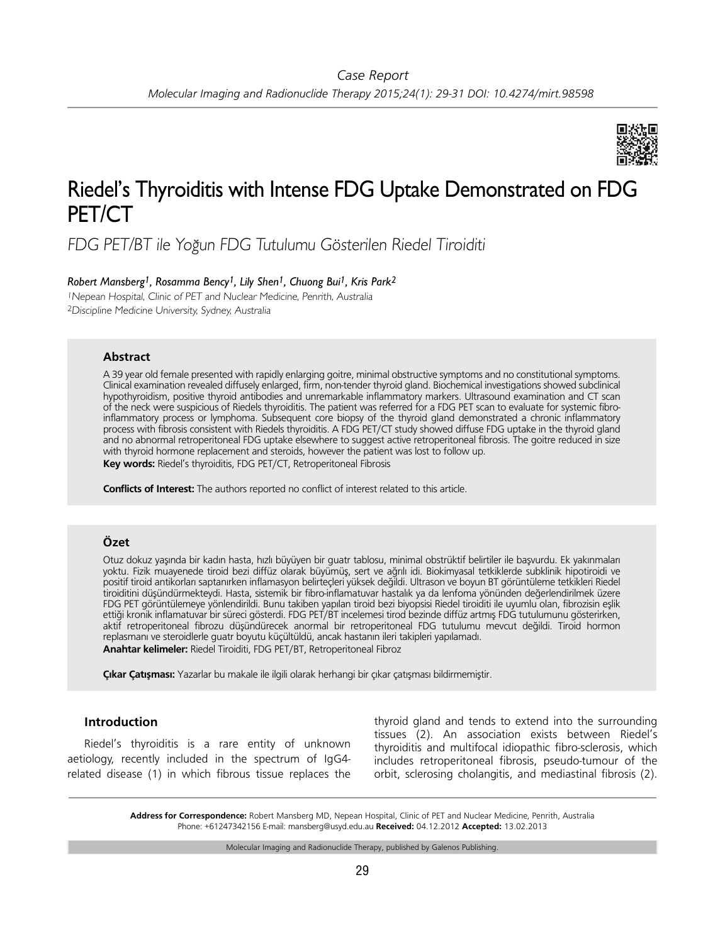

# Riedel's Thyroiditis with Intense FDG Uptake Demonstrated on FDG PET/CT

FDG PET/BT ile Yoğun FDG Tutulumu Gösterilen Riedel Tiroiditi

## *Robert Mansberg1, Rosamma Bency1, Lily Shen1, Chuong Bui1, Kris Park2*

<sup>1</sup>Nepean Hospital, Clinic of PET and Nuclear Medicine, Penrith, Australia <sup>2</sup>Discipline Medicine University, Sydney, Australia

#### **Abstract**

A 39 year old female presented with rapidly enlarging goitre, minimal obstructive symptoms and no constitutional symptoms. Clinical examination revealed diffusely enlarged, firm, non-tender thyroid gland. Biochemical investigations showed subclinical hypothyroidism, positive thyroid antibodies and unremarkable inflammatory markers. Ultrasound examination and CT scan of the neck were suspicious of Riedels thyroiditis. The patient was referred for a FDG PET scan to evaluate for systemic fibroinflammatory process or lymphoma. Subsequent core biopsy of the thyroid gland demonstrated a chronic inflammatory process with fibrosis consistent with Riedels thyroiditis. A FDG PET/CT study showed diffuse FDG uptake in the thyroid gland and no abnormal retroperitoneal FDG uptake elsewhere to suggest active retroperitoneal fibrosis. The goitre reduced in size with thyroid hormone replacement and steroids, however the patient was lost to follow up.

**Key words:** Riedel's thyroiditis, FDG PET/CT, Retroperitoneal Fibrosis

**Conflicts of Interest:** The authors reported no conflict of interest related to this article.

## **Özet**

Otuz dokuz yaşında bir kadın hasta, hızlı büyüyen bir guatr tablosu, minimal obstrüktif belirtiler ile başvurdu. Ek yakınmaları yoktu. Fizik muayenede tiroid bezi diffüz olarak büyümüş, sert ve ağrılı idi. Biokimyasal tetkiklerde subklinik hipotiroidi ve positif tiroid antikorları saptanırken inflamasyon belirteçleri yüksek değildi. Ultrason ve boyun BT görüntüleme tetkikleri Riedel tiroiditini düşündürmekteydi. Hasta, sistemik bir fibro-inflamatuvar hastalık ya da lenfoma yönünden değerlendirilmek üzere FDG PET görüntülemeye yönlendirildi. Bunu takiben yapılan tiroid bezi biyopsisi Riedel tiroiditi ile uyumlu olan, fibrozisin eşlik ettiği kronik inflamatuvar bir süreci gösterdi. FDG PET/BT incelemesi tirod bezinde diffüz artmış FDG tutulumunu gösterirken, aktif retroperitoneal fibrozu düşündürecek anormal bir retroperitoneal FDG tutulumu mevcut değildi. Tiroid hormon replasmanı ve steroidlerle guatr boyutu küçültüldü, ancak hastanın ileri takipleri yapılamadı. **Anahtar kelimeler:** Riedel Tiroiditi, FDG PET/BT, Retroperitoneal Fibroz

**Çıkar Çatışması:** Yazarlar bu makale ile ilgili olarak herhangi bir çıkar çatışması bildirmemiştir.

## **Introduction**

Riedel's thyroiditis is a rare entity of unknown aetiology, recently included in the spectrum of IgG4 related disease (1) in which fibrous tissue replaces the

thyroid gland and tends to extend into the surrounding tissues (2). An association exists between Riedel's thyroiditis and multifocal idiopathic fibro-sclerosis, which includes retroperitoneal fibrosis, pseudo-tumour of the orbit, sclerosing cholangitis, and mediastinal fibrosis (2).

**Address for Correspondence:** Robert Mansberg MD, Nepean Hospital, Clinic of PET and Nuclear Medicine, Penrith, Australia Phone: +61247342156 E-mail: mansberg@usyd.edu.au **Received:** 04.12.2012 **Accepted:** 13.02.2013

Molecular Imaging and Radionuclide Therapy, published by Galenos Publishing.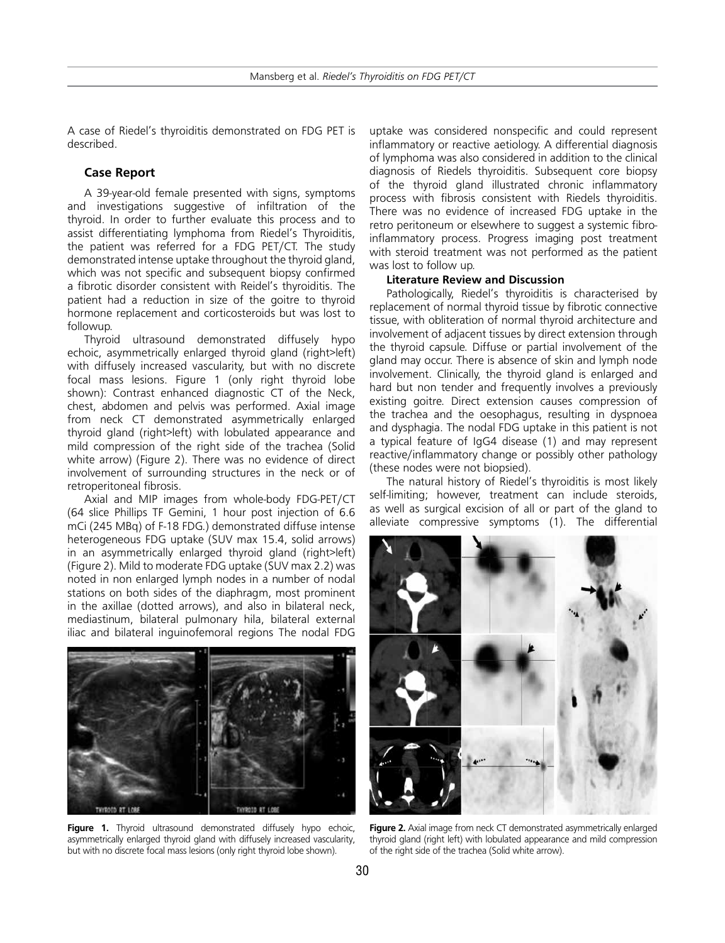A case of Riedel's thyroiditis demonstrated on FDG PET is described.

### **Case Report**

A 39-year-old female presented with signs, symptoms and investigations suggestive of infiltration of the thyroid. In order to further evaluate this process and to assist differentiating lymphoma from Riedel's Thyroiditis, the patient was referred for a FDG PET/CT. The study demonstrated intense uptake throughout the thyroid gland, which was not specific and subsequent biopsy confirmed a fibrotic disorder consistent with Reidel's thyroiditis. The patient had a reduction in size of the goitre to thyroid hormone replacement and corticosteroids but was lost to followup.

Thyroid ultrasound demonstrated diffusely hypo echoic, asymmetrically enlarged thyroid gland (right>left) with diffusely increased vascularity, but with no discrete focal mass lesions. Figure 1 (only right thyroid lobe shown): Contrast enhanced diagnostic CT of the Neck, chest, abdomen and pelvis was performed. Axial image from neck CT demonstrated asymmetrically enlarged thyroid gland (right>left) with lobulated appearance and mild compression of the right side of the trachea (Solid white arrow) (Figure 2). There was no evidence of direct involvement of surrounding structures in the neck or of retroperitoneal fibrosis.

Axial and MIP images from whole-body FDG-PET/CT (64 slice Phillips TF Gemini, 1 hour post injection of 6.6 mCi (245 MBq) of F-18 FDG.) demonstrated diffuse intense heterogeneous FDG uptake (SUV max 15.4, solid arrows) in an asymmetrically enlarged thyroid gland (right>left) (Figure 2). Mild to moderate FDG uptake (SUV max 2.2) was noted in non enlarged lymph nodes in a number of nodal stations on both sides of the diaphragm, most prominent in the axillae (dotted arrows), and also in bilateral neck, mediastinum, bilateral pulmonary hila, bilateral external iliac and bilateral inguinofemoral regions The nodal FDG



Figure 1. Thyroid ultrasound demonstrated diffusely hypo echoic, asymmetrically enlarged thyroid gland with diffusely increased vascularity, but with no discrete focal mass lesions (only right thyroid lobe shown).

uptake was considered nonspecific and could represent inflammatory or reactive aetiology. A differential diagnosis of lymphoma was also considered in addition to the clinical diagnosis of Riedels thyroiditis. Subsequent core biopsy of the thyroid gland illustrated chronic inflammatory process with fibrosis consistent with Riedels thyroiditis. There was no evidence of increased FDG uptake in the retro peritoneum or elsewhere to suggest a systemic fibroinflammatory process. Progress imaging post treatment with steroid treatment was not performed as the patient was lost to follow up.

#### **Literature Review and Discussion**

Pathologically, Riedel's thyroiditis is characterised by replacement of normal thyroid tissue by fibrotic connective tissue, with obliteration of normal thyroid architecture and involvement of adjacent tissues by direct extension through the thyroid capsule. Diffuse or partial involvement of the gland may occur. There is absence of skin and lymph node involvement. Clinically, the thyroid gland is enlarged and hard but non tender and frequently involves a previously existing goitre. Direct extension causes compression of the trachea and the oesophagus, resulting in dyspnoea and dysphagia. The nodal FDG uptake in this patient is not a typical feature of IgG4 disease (1) and may represent reactive/inflammatory change or possibly other pathology (these nodes were not biopsied).

The natural history of Riedel's thyroiditis is most likely self-limiting; however, treatment can include steroids, as well as surgical excision of all or part of the gland to alleviate compressive symptoms (1). The differential



**Figure 2.** Axial image from neck CT demonstrated asymmetrically enlarged thyroid gland (right left) with lobulated appearance and mild compression of the right side of the trachea (Solid white arrow).